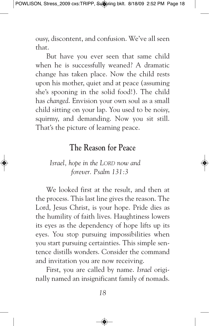ousy, discontent, and confusion. We've all seen that.

But have you ever seen that same child when he is successfully weaned? A dramatic change has taken place. Now the child rests upon his mother, quiet and at peace (assuming she's spooning in the solid food!). The child has *changed*. Envision your own soul as a small child sitting on your lap. You used to be noisy, squirmy, and demanding. Now you sit still. That's the picture of learning peace.

## **The Reason for Peace**

## *Israel, hope in the LORD now and forever. Psalm 131:3*

We looked first at the result, and then at the process. This last line gives the reason. The Lord, Jesus Christ, is your hope. Pride dies as the humility of faith lives. Haughtiness lowers its eyes as the dependency of hope lifts up its eyes. You stop pursuing impossibilities when you start pursuing certainties. This simple sentence distills wonders. Consider the command and invitation you are now receiving.

First, you are called by name. *Israel* originally named an insignificant family of nomads.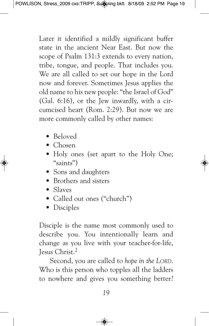Later it identified a mildly significant buffer state in the ancient Near East. But now the scope of Psalm 131:3 extends to every nation, tribe, tongue, and people. That includes you. We are all called to set our hope in the Lord now and forever. Sometimes Jesus applies the old name to his new people: "the Israel of God" (Gal. 6:16), or the Jew inwardly, with a circumcised heart (Rom. 2:29). But now we are more commonly called by other names:

- Beloved
- Chosen
- Holy ones (set apart to the Holy One; "saints")
- Sons and daughters
- Brothers and sisters
- Slaves
- Called out ones ("church")
- Disciples

Disciple is the name most commonly used to describe you. You intentionally learn and change as you live with your teacher-for-life, Jesus Christ. 2

Second, you are called to *hope in the LORD*. Who is this person who topples all the ladders to nowhere and gives you something better?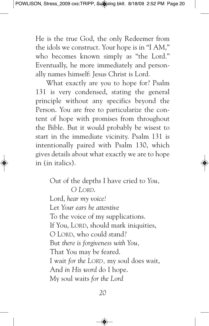He is the true God, the only Redeemer from the idols we construct. Your hope is in "I AM," who becomes known simply as "the Lord." Eventually, he more immediately and personally names himself: Jesus Christ is Lord.

What exactly are you to hope for? Psalm 131 is very condensed, stating the general principle without any specifics beyond the Person. You are free to particularize the content of hope with promises from throughout the Bible. But it would probably be wisest to start in the immediate vicinity. Psalm 131 is intentionally paired with Psalm 130, which gives details about what exactly we are to hope in (in italics).

> Out of the depths I have cried to *You, O LORD*. Lord, *hear my voice!* Let *Your ears be attentive* To the voice of my supplications. If You, LORD, should mark iniquities, O LORD, who could stand? But *there is forgiveness with You,* That You may be feared. I wait *for the LORD,* my soul does wait, And *in His word* do I hope. My soul waits *for the Lord*

> > *20*